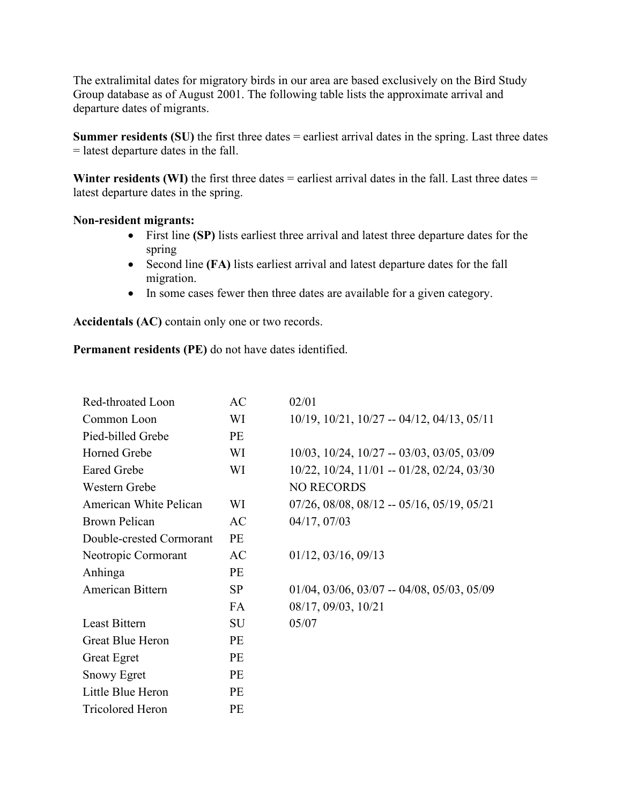The extralimital dates for migratory birds in our area are based exclusively on the Bird Study Group database as of August 2001. The following table lists the approximate arrival and departure dates of migrants.

**Summer residents (SU)** the first three dates = earliest arrival dates in the spring. Last three dates = latest departure dates in the fall.

**Winter residents (WI)** the first three dates  $=$  earliest arrival dates in the fall. Last three dates  $=$ latest departure dates in the spring.

## **Non-resident migrants:**

- First line **(SP)** lists earliest three arrival and latest three departure dates for the spring
- Second line **(FA)** lists earliest arrival and latest departure dates for the fall migration.
- In some cases fewer then three dates are available for a given category.

**Accidentals (AC)** contain only one or two records.

**Permanent residents (PE)** do not have dates identified.

| Red-throated Loon        | AC        | 02/01                                                      |
|--------------------------|-----------|------------------------------------------------------------|
| Common Loon              | WI        | $10/19$ , $10/21$ , $10/27 - 04/12$ , $04/13$ , $05/11$    |
| Pied-billed Grebe        | <b>PE</b> |                                                            |
| <b>Horned Grebe</b>      | WI        | $10/03$ , $10/24$ , $10/27 - 03/03$ , $03/05$ , $03/09$    |
| <b>Eared Grebe</b>       | WI        | $10/22$ , $10/24$ , $11/01 - 01/28$ , $02/24$ , $03/30$    |
| Western Grebe            |           | <b>NO RECORDS</b>                                          |
| American White Pelican   | WI        | $07/26$ , $08/08$ , $08/12$ -- $05/16$ , $05/19$ , $05/21$ |
| <b>Brown Pelican</b>     | AC        | 04/17, 07/03                                               |
| Double-crested Cormorant | PE        |                                                            |
| Neotropic Cormorant      | AC        | $01/12$ , $03/16$ , $09/13$                                |
| Anhinga                  | PE        |                                                            |
| American Bittern         | <b>SP</b> | $01/04$ , $03/06$ , $03/07 - 04/08$ , $05/03$ , $05/09$    |
|                          | <b>FA</b> | 08/17, 09/03, 10/21                                        |
| Least Bittern            | <b>SU</b> | 05/07                                                      |
| <b>Great Blue Heron</b>  | PE        |                                                            |
| <b>Great Egret</b>       | <b>PE</b> |                                                            |
| <b>Snowy Egret</b>       | <b>PE</b> |                                                            |
| Little Blue Heron        | <b>PE</b> |                                                            |
| <b>Tricolored Heron</b>  | PE        |                                                            |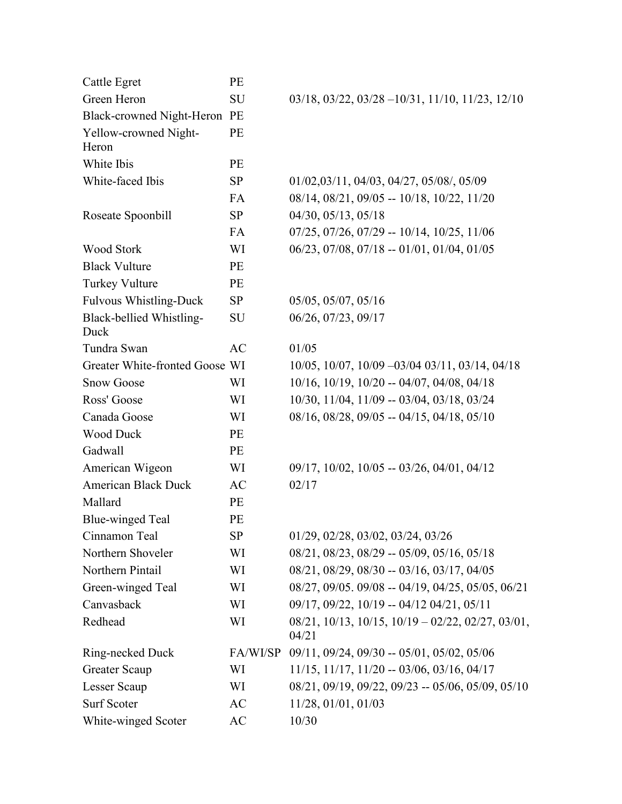| <b>Cattle Egret</b>              | PE        |                                                                              |
|----------------------------------|-----------|------------------------------------------------------------------------------|
| Green Heron                      | SU        | $03/18$ , $03/22$ , $03/28 - 10/31$ , $11/10$ , $11/23$ , $12/10$            |
| Black-crowned Night-Heron PE     |           |                                                                              |
| Yellow-crowned Night-<br>Heron   | PE        |                                                                              |
| White Ibis                       | PE        |                                                                              |
| White-faced Ibis                 | <b>SP</b> | 01/02,03/11, 04/03, 04/27, 05/08/, 05/09                                     |
|                                  | FA        | 08/14, 08/21, 09/05 -- 10/18, 10/22, 11/20                                   |
| Roseate Spoonbill                | <b>SP</b> | 04/30, 05/13, 05/18                                                          |
|                                  | FA        | $07/25$ , $07/26$ , $07/29 - 10/14$ , $10/25$ , $11/06$                      |
| <b>Wood Stork</b>                | WI        | 06/23, 07/08, 07/18 -- 01/01, 01/04, 01/05                                   |
| <b>Black Vulture</b>             | <b>PE</b> |                                                                              |
| Turkey Vulture                   | <b>PE</b> |                                                                              |
| <b>Fulvous Whistling-Duck</b>    | <b>SP</b> | 05/05, 05/07, 05/16                                                          |
| Black-bellied Whistling-<br>Duck | SU        | 06/26, 07/23, 09/17                                                          |
| Tundra Swan                      | AC        | 01/05                                                                        |
| Greater White-fronted Goose WI   |           | 10/05, 10/07, 10/09 -03/04 03/11, 03/14, 04/18                               |
| <b>Snow Goose</b>                | WI        | $10/16$ , $10/19$ , $10/20 - 04/07$ , $04/08$ , $04/18$                      |
| Ross' Goose                      | WI        | 10/30, 11/04, 11/09 -- 03/04, 03/18, 03/24                                   |
| Canada Goose                     | WI        | $08/16$ , $08/28$ , $09/05 - 04/15$ , $04/18$ , $05/10$                      |
| <b>Wood Duck</b>                 | PE        |                                                                              |
| Gadwall                          | PE        |                                                                              |
| American Wigeon                  | WI        | $09/17$ , $10/02$ , $10/05 - 03/26$ , $04/01$ , $04/12$                      |
| <b>American Black Duck</b>       | AC        | 02/17                                                                        |
| Mallard                          | PE        |                                                                              |
| <b>Blue-winged Teal</b>          | PE        |                                                                              |
| Cinnamon Teal                    | SP        | 01/29, 02/28, 03/02, 03/24, 03/26                                            |
| Northern Shoveler                | WI        | $08/21, 08/23, 08/29 - 05/09, 05/16, 05/18$                                  |
| Northern Pintail                 | WI        | 08/21, 08/29, 08/30 -- 03/16, 03/17, 04/05                                   |
| Green-winged Teal                | WI        | 08/27, 09/05. 09/08 -- 04/19, 04/25, 05/05, 06/21                            |
| Canvasback                       | WI        | 09/17, 09/22, 10/19 -- 04/12 04/21, 05/11                                    |
| Redhead                          | WI        | $08/21$ , $10/13$ , $10/15$ , $10/19 - 02/22$ , $02/27$ , $03/01$ ,<br>04/21 |
| Ring-necked Duck                 | FA/WI/SP  | $09/11, 09/24, 09/30 - 05/01, 05/02, 05/06$                                  |
| <b>Greater Scaup</b>             | WI        | $11/15$ , $11/17$ , $11/20 - 03/06$ , $03/16$ , $04/17$                      |
| Lesser Scaup                     | WI        | $08/21, 09/19, 09/22, 09/23 - 05/06, 05/09, 05/10$                           |
| Surf Scoter                      | AC        | 11/28, 01/01, 01/03                                                          |
| White-winged Scoter              | AC        | 10/30                                                                        |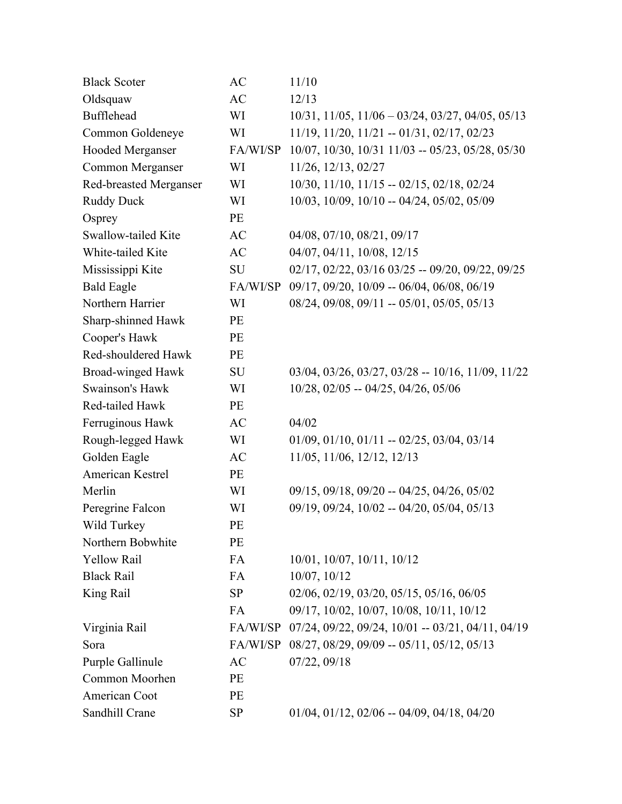| $10/31$ , $11/05$ , $11/06 - 03/24$ , $03/27$ , $04/05$ , $05/13$<br>$11/19$ , $11/20$ , $11/21 - 01/31$ , $02/17$ , $02/23$<br>10/07, 10/30, 10/31 11/03 -- 05/23, 05/28, 05/30 |
|----------------------------------------------------------------------------------------------------------------------------------------------------------------------------------|
|                                                                                                                                                                                  |
|                                                                                                                                                                                  |
|                                                                                                                                                                                  |
|                                                                                                                                                                                  |
|                                                                                                                                                                                  |
| $10/30$ , $11/10$ , $11/15 - 02/15$ , $02/18$ , $02/24$                                                                                                                          |
| 10/03, 10/09, 10/10 -- 04/24, 05/02, 05/09                                                                                                                                       |
|                                                                                                                                                                                  |
|                                                                                                                                                                                  |
|                                                                                                                                                                                  |
| 02/17, 02/22, 03/16 03/25 -- 09/20, 09/22, 09/25                                                                                                                                 |
| 09/17, 09/20, 10/09 -- 06/04, 06/08, 06/19                                                                                                                                       |
| $08/24$ , $09/08$ , $09/11 - 05/01$ , $05/05$ , $05/13$                                                                                                                          |
|                                                                                                                                                                                  |
|                                                                                                                                                                                  |
|                                                                                                                                                                                  |
| $03/04$ , $03/26$ , $03/27$ , $03/28$ -- 10/16, 11/09, 11/22                                                                                                                     |
| 10/28, 02/05 -- 04/25, 04/26, 05/06                                                                                                                                              |
|                                                                                                                                                                                  |
|                                                                                                                                                                                  |
| $01/09$ , $01/10$ , $01/11 - 02/25$ , $03/04$ , $03/14$                                                                                                                          |
|                                                                                                                                                                                  |
|                                                                                                                                                                                  |
| $09/15$ , $09/18$ , $09/20 - 04/25$ , $04/26$ , $05/02$                                                                                                                          |
| 09/19, 09/24, 10/02 -- 04/20, 05/04, 05/13                                                                                                                                       |
|                                                                                                                                                                                  |
|                                                                                                                                                                                  |
|                                                                                                                                                                                  |
|                                                                                                                                                                                  |
| 02/06, 02/19, 03/20, 05/15, 05/16, 06/05                                                                                                                                         |
| 09/17, 10/02, 10/07, 10/08, 10/11, 10/12                                                                                                                                         |
| FA/WI/SP 07/24, 09/22, 09/24, 10/01 -- 03/21, 04/11, 04/19                                                                                                                       |
| 08/27, 08/29, 09/09 -- 05/11, 05/12, 05/13                                                                                                                                       |
|                                                                                                                                                                                  |
|                                                                                                                                                                                  |
|                                                                                                                                                                                  |
|                                                                                                                                                                                  |
|                                                                                                                                                                                  |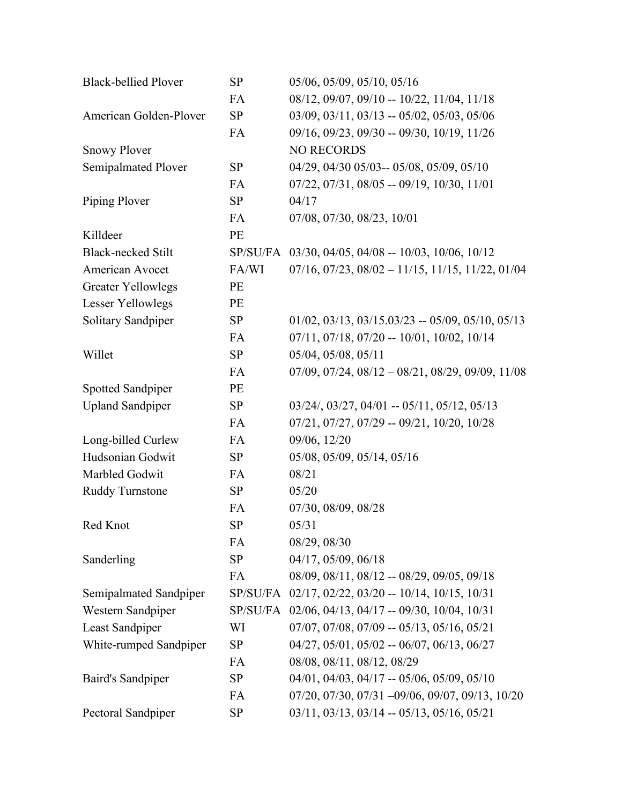| <b>Black-bellied Plover</b> | <b>SP</b> | 05/06, 05/09, 05/10, 05/16                                        |
|-----------------------------|-----------|-------------------------------------------------------------------|
|                             | FA        | 08/12, 09/07, 09/10 -- 10/22, 11/04, 11/18                        |
| American Golden-Plover      | SP        | $03/09$ , $03/11$ , $03/13$ -- $05/02$ , $05/03$ , $05/06$        |
|                             | FA        | 09/16, 09/23, 09/30 -- 09/30, 10/19, 11/26                        |
| <b>Snowy Plover</b>         |           | <b>NO RECORDS</b>                                                 |
| Semipalmated Plover         | <b>SP</b> | 04/29, 04/30 05/03-- 05/08, 05/09, 05/10                          |
|                             | FA        | $07/22$ , $07/31$ , $08/05 - 09/19$ , $10/30$ , $11/01$           |
| Piping Plover               | SP        | 04/17                                                             |
|                             | FA        | 07/08, 07/30, 08/23, 10/01                                        |
| Killdeer                    | PE        |                                                                   |
| <b>Black-necked Stilt</b>   |           | SP/SU/FA 03/30, 04/05, 04/08 -- 10/03, 10/06, 10/12               |
| American Avocet             | FA/WI     | $07/16$ , $07/23$ , $08/02 - 11/15$ , $11/15$ , $11/22$ , $01/04$ |
| <b>Greater Yellowlegs</b>   | PE        |                                                                   |
| Lesser Yellowlegs           | PE        |                                                                   |
| Solitary Sandpiper          | SP        | $01/02$ , $03/13$ , $03/15.03/23 - 05/09$ , $05/10$ , $05/13$     |
|                             | FA        | $07/11, 07/18, 07/20 - 10/01, 10/02, 10/14$                       |
| Willet                      | <b>SP</b> | 05/04, 05/08, 05/11                                               |
|                             | FA        | $07/09$ , $07/24$ , $08/12 - 08/21$ , $08/29$ , $09/09$ , $11/08$ |
| Spotted Sandpiper           | PE        |                                                                   |
| <b>Upland Sandpiper</b>     | SP        | $03/24$ , $03/27$ , $04/01 - 05/11$ , $05/12$ , $05/13$           |
|                             | FA        | $07/21, 07/27, 07/29 - 09/21, 10/20, 10/28$                       |
| Long-billed Curlew          | FA        | 09/06, 12/20                                                      |
| Hudsonian Godwit            | SP        | 05/08, 05/09, 05/14, 05/16                                        |
| Marbled Godwit              | FA        | 08/21                                                             |
| <b>Ruddy Turnstone</b>      | SP        | 05/20                                                             |
|                             | FA        | 07/30, 08/09, 08/28                                               |
| Red Knot                    | <b>SP</b> | 05/31                                                             |
|                             | FA        | 08/29, 08/30                                                      |
| Sanderling                  | SP        | 04/17, 05/09, 06/18                                               |
|                             | FA        | 08/09, 08/11, 08/12 -- 08/29, 09/05, 09/18                        |
| Semipalmated Sandpiper      | SP/SU/FA  | $02/17$ , $02/22$ , $03/20 - 10/14$ , $10/15$ , $10/31$           |
| Western Sandpiper           | SP/SU/FA  | $02/06$ , $04/13$ , $04/17 - 09/30$ , $10/04$ , $10/31$           |
| Least Sandpiper             | WI        | $07/07$ , $07/08$ , $07/09 - 05/13$ , $05/16$ , $05/21$           |
| White-rumped Sandpiper      | SP        | $04/27, 05/01, 05/02 - 06/07, 06/13, 06/27$                       |
|                             | FA        | 08/08, 08/11, 08/12, 08/29                                        |
| <b>Baird's Sandpiper</b>    | <b>SP</b> | $04/01$ , $04/03$ , $04/17 - 05/06$ , $05/09$ , $05/10$           |
|                             | FA        | $07/20, 07/30, 07/31 - 09/06, 09/07, 09/13, 10/20$                |
| Pectoral Sandpiper          | <b>SP</b> | $03/11, 03/13, 03/14 - 05/13, 05/16, 05/21$                       |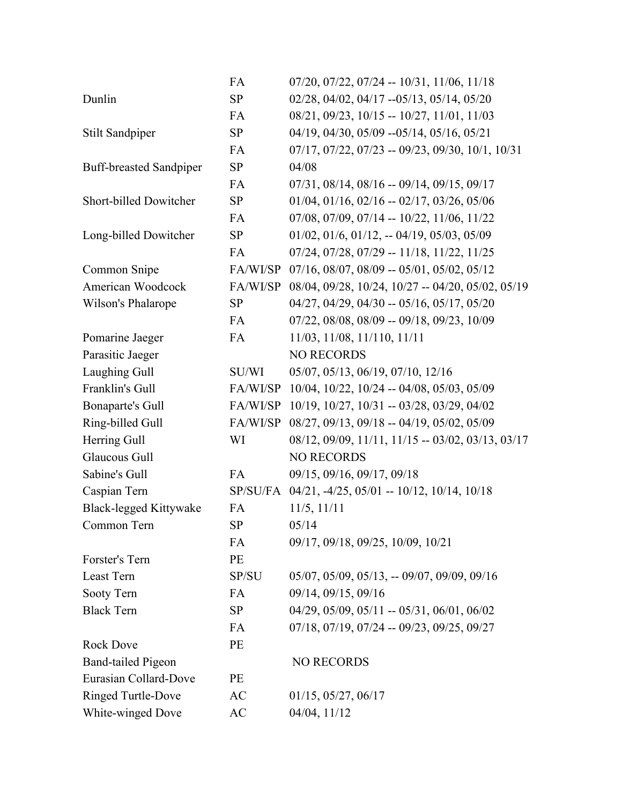|                                | FA        | $07/20$ , $07/22$ , $07/24$ -- $10/31$ , $11/06$ , $11/18$       |
|--------------------------------|-----------|------------------------------------------------------------------|
| Dunlin                         | SP        | 02/28, 04/02, 04/17 --05/13, 05/14, 05/20                        |
|                                | FA        | 08/21, 09/23, 10/15 -- 10/27, 11/01, 11/03                       |
| Stilt Sandpiper                | SP        | 04/19, 04/30, 05/09 -- 05/14, 05/16, 05/21                       |
|                                | <b>FA</b> | $07/17$ , $07/22$ , $07/23 - 09/23$ , $09/30$ , $10/1$ , $10/31$ |
| <b>Buff-breasted Sandpiper</b> | <b>SP</b> | 04/08                                                            |
|                                | FA        | 07/31, 08/14, 08/16 -- 09/14, 09/15, 09/17                       |
| Short-billed Dowitcher         | SP        | $01/04$ , $01/16$ , $02/16 - 02/17$ , $03/26$ , $05/06$          |
|                                | FA        | $07/08$ , $07/09$ , $07/14$ -- $10/22$ , $11/06$ , $11/22$       |
| Long-billed Dowitcher          | SP        | $01/02$ , $01/6$ , $01/12$ , $-04/19$ , $05/03$ , $05/09$        |
|                                | <b>FA</b> | $07/24$ , $07/28$ , $07/29 - 11/18$ , $11/22$ , $11/25$          |
| Common Snipe                   | FA/WI/SP  | $07/16$ , $08/07$ , $08/09 - 05/01$ , $05/02$ , $05/12$          |
| American Woodcock              | FA/WI/SP  | 08/04, 09/28, 10/24, 10/27 -- 04/20, 05/02, 05/19                |
| Wilson's Phalarope             | SP        | $04/27$ , $04/29$ , $04/30 - 05/16$ , $05/17$ , $05/20$          |
|                                | FA        | 07/22, 08/08, 08/09 -- 09/18, 09/23, 10/09                       |
| Pomarine Jaeger                | FA        | 11/03, 11/08, 11/110, 11/11                                      |
| Parasitic Jaeger               |           | <b>NO RECORDS</b>                                                |
| Laughing Gull                  | SU/WI     | 05/07, 05/13, 06/19, 07/10, 12/16                                |
| Franklin's Gull                | FA/WI/SP  | $10/04$ , $10/22$ , $10/24 - 04/08$ , $05/03$ , $05/09$          |
| <b>Bonaparte's Gull</b>        | FA/WI/SP  | 10/19, 10/27, 10/31 -- 03/28, 03/29, 04/02                       |
| Ring-billed Gull               | FA/WI/SP  | 08/27, 09/13, 09/18 -- 04/19, 05/02, 05/09                       |
| Herring Gull                   | WI        | 08/12, 09/09, 11/11, 11/15 -- 03/02, 03/13, 03/17                |
| Glaucous Gull                  |           | <b>NO RECORDS</b>                                                |
| Sabine's Gull                  | FA        | 09/15, 09/16, 09/17, 09/18                                       |
| Caspian Tern                   |           | SP/SU/FA 04/21, -4/25, 05/01 -- 10/12, 10/14, 10/18              |
| <b>Black-legged Kittywake</b>  | <b>FA</b> | 11/5, 11/11                                                      |
| Common Tern                    | <b>SP</b> | 05/14                                                            |
|                                | FA        | 09/17, 09/18, 09/25, 10/09, 10/21                                |
| Forster's Tern                 | PE        |                                                                  |
| Least Tern                     | SP/SU     | $05/07$ , $05/09$ , $05/13$ , $- 09/07$ , $09/09$ , $09/16$      |
| Sooty Tern                     | FA        | 09/14, 09/15, 09/16                                              |
| <b>Black Tern</b>              | SP        | $04/29$ , $05/09$ , $05/11$ -- $05/31$ , $06/01$ , $06/02$       |
|                                | FA        | $07/18$ , $07/19$ , $07/24$ -- $09/23$ , $09/25$ , $09/27$       |
| <b>Rock Dove</b>               | PE        |                                                                  |
| <b>Band-tailed Pigeon</b>      |           | <b>NO RECORDS</b>                                                |
| Eurasian Collard-Dove          | PE        |                                                                  |
| <b>Ringed Turtle-Dove</b>      | AC        | $01/15$ , $05/27$ , $06/17$                                      |
| White-winged Dove              | AC        | 04/04, 11/12                                                     |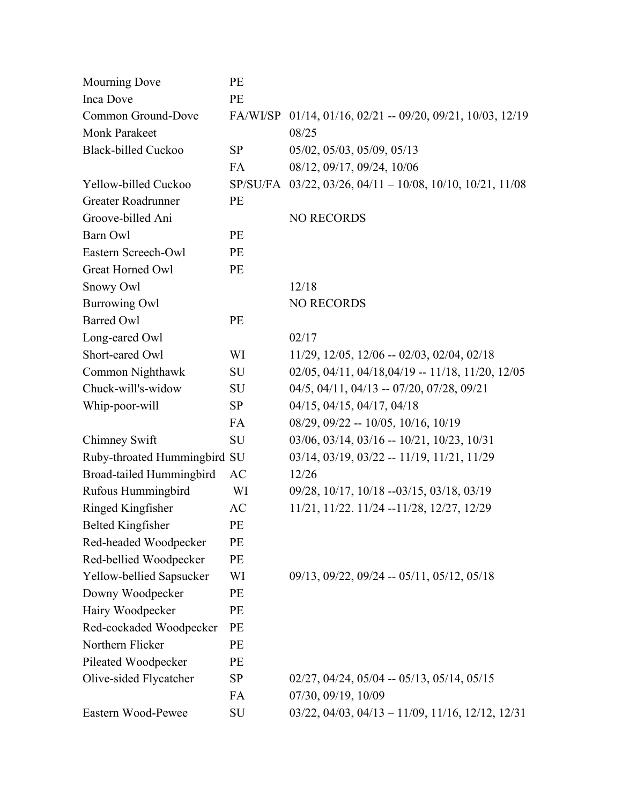| <b>Mourning Dove</b>         | PE        |                                                                      |
|------------------------------|-----------|----------------------------------------------------------------------|
| Inca Dove                    | PE        |                                                                      |
| Common Ground-Dove           |           | FA/WI/SP 01/14, 01/16, 02/21 -- 09/20, 09/21, 10/03, 12/19           |
| <b>Monk Parakeet</b>         |           | 08/25                                                                |
| <b>Black-billed Cuckoo</b>   | <b>SP</b> | 05/02, 05/03, 05/09, 05/13                                           |
|                              | <b>FA</b> | 08/12, 09/17, 09/24, 10/06                                           |
| Yellow-billed Cuckoo         |           | SP/SU/FA 03/22, 03/26, 04/11 - 10/08, 10/10, 10/21, 11/08            |
| Greater Roadrunner           | PE        |                                                                      |
| Groove-billed Ani            |           | <b>NO RECORDS</b>                                                    |
| Barn Owl                     | PE        |                                                                      |
| Eastern Screech-Owl          | PE        |                                                                      |
| Great Horned Owl             | PE        |                                                                      |
| Snowy Owl                    |           | 12/18                                                                |
| <b>Burrowing Owl</b>         |           | <b>NO RECORDS</b>                                                    |
| <b>Barred Owl</b>            | PE        |                                                                      |
| Long-eared Owl               |           | 02/17                                                                |
| Short-eared Owl              | WI        | $11/29$ , $12/05$ , $12/06 - 02/03$ , $02/04$ , $02/18$              |
| Common Nighthawk             | SU        | $02/05$ , $04/11$ , $04/18$ , $04/19$ -- $11/18$ , $11/20$ , $12/05$ |
| Chuck-will's-widow           | SU        | $04/5$ , $04/11$ , $04/13 - 07/20$ , $07/28$ , $09/21$               |
| Whip-poor-will               | <b>SP</b> | 04/15, 04/15, 04/17, 04/18                                           |
|                              | <b>FA</b> | $08/29$ , $09/22 - 10/05$ , $10/16$ , $10/19$                        |
| Chimney Swift                | SU        | $03/06$ , $03/14$ , $03/16 - 10/21$ , $10/23$ , $10/31$              |
| Ruby-throated Hummingbird SU |           | $03/14, 03/19, 03/22 - 11/19, 11/21, 11/29$                          |
| Broad-tailed Hummingbird     | AC        | 12/26                                                                |
| Rufous Hummingbird           | WI        | 09/28, 10/17, 10/18 --03/15, 03/18, 03/19                            |
| Ringed Kingfisher            | AC        | 11/21, 11/22. 11/24 --11/28, 12/27, 12/29                            |
| <b>Belted Kingfisher</b>     | PE        |                                                                      |
| Red-headed Woodpecker        | PE        |                                                                      |
| Red-bellied Woodpecker       | PE        |                                                                      |
| Yellow-bellied Sapsucker     | WI        | $09/13$ , $09/22$ , $09/24$ -- $05/11$ , $05/12$ , $05/18$           |
| Downy Woodpecker             | PE        |                                                                      |
| Hairy Woodpecker             | PE        |                                                                      |
| Red-cockaded Woodpecker      | PE        |                                                                      |
| Northern Flicker             | PE        |                                                                      |
| Pileated Woodpecker          | PE        |                                                                      |
| Olive-sided Flycatcher       | <b>SP</b> | $02/27$ , $04/24$ , $05/04$ -- $05/13$ , $05/14$ , $05/15$           |
|                              | FA        | 07/30, 09/19, 10/09                                                  |
| Eastern Wood-Pewee           | SU        | $03/22$ , $04/03$ , $04/13 - 11/09$ , $11/16$ , $12/12$ , $12/31$    |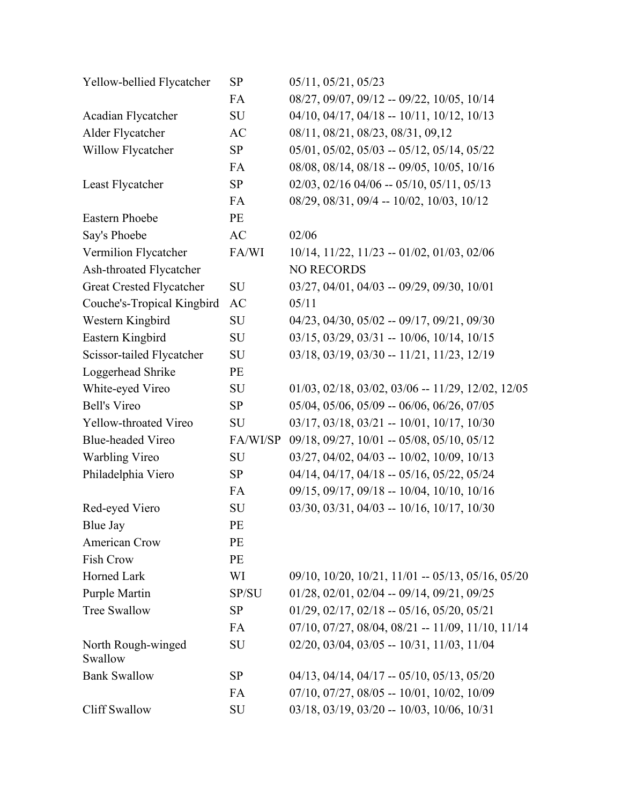| Yellow-bellied Flycatcher       | <b>SP</b> | 05/11, 05/21, 05/23                                               |
|---------------------------------|-----------|-------------------------------------------------------------------|
|                                 | FA        | 08/27, 09/07, 09/12 -- 09/22, 10/05, 10/14                        |
| Acadian Flycatcher              | SU        | $04/10$ , $04/17$ , $04/18$ -- $10/11$ , $10/12$ , $10/13$        |
| Alder Flycatcher                | AC        | 08/11, 08/21, 08/23, 08/31, 09,12                                 |
| Willow Flycatcher               | SP        | $05/01$ , $05/02$ , $05/03 - 05/12$ , $05/14$ , $05/22$           |
|                                 | FA        | 08/08, 08/14, 08/18 -- 09/05, 10/05, 10/16                        |
| Least Flycatcher                | SP        | $02/03$ , $02/16$ $04/06$ -- $05/10$ , $05/11$ , $05/13$          |
|                                 | FA        | 08/29, 08/31, 09/4 -- 10/02, 10/03, 10/12                         |
| <b>Eastern Phoebe</b>           | PE        |                                                                   |
| Say's Phoebe                    | AC        | 02/06                                                             |
| Vermilion Flycatcher            | FA/WI     | $10/14$ , $11/22$ , $11/23 - 01/02$ , $01/03$ , $02/06$           |
| Ash-throated Flycatcher         |           | <b>NO RECORDS</b>                                                 |
| <b>Great Crested Flycatcher</b> | SU        | 03/27, 04/01, 04/03 -- 09/29, 09/30, 10/01                        |
| Couche's-Tropical Kingbird      | AC        | 05/11                                                             |
| Western Kingbird                | SU        | 04/23, 04/30, 05/02 -- 09/17, 09/21, 09/30                        |
| Eastern Kingbird                | SU        | $03/15$ , $03/29$ , $03/31 - 10/06$ , $10/14$ , $10/15$           |
| Scissor-tailed Flycatcher       | SU        | 03/18, 03/19, 03/30 -- 11/21, 11/23, 12/19                        |
| Loggerhead Shrike               | PE        |                                                                   |
| White-eyed Vireo                | SU        | $01/03$ , $02/18$ , $03/02$ , $03/06 - 11/29$ , $12/02$ , $12/05$ |
| <b>Bell's Vireo</b>             | SP        | $05/04$ , $05/06$ , $05/09 - 06/06$ , $06/26$ , $07/05$           |
| Yellow-throated Vireo           | SU        | $03/17, 03/18, 03/21 - 10/01, 10/17, 10/30$                       |
| <b>Blue-headed Vireo</b>        | FA/WI/SP  | 09/18, 09/27, 10/01 -- 05/08, 05/10, 05/12                        |
| Warbling Vireo                  | SU        | 03/27, 04/02, 04/03 -- 10/02, 10/09, 10/13                        |
| Philadelphia Viero              | SP        | 04/14, 04/17, 04/18 -- 05/16, 05/22, 05/24                        |
|                                 | FA        | 09/15, 09/17, 09/18 -- 10/04, 10/10, 10/16                        |
| Red-eyed Viero                  | SU        | 03/30, 03/31, 04/03 -- 10/16, 10/17, 10/30                        |
| Blue Jay                        | PE        |                                                                   |
| American Crow                   | PE        |                                                                   |
| Fish Crow                       | PE        |                                                                   |
| Horned Lark                     | WI        | $09/10$ , $10/20$ , $10/21$ , $11/01 - 05/13$ , $05/16$ , $05/20$ |
| Purple Martin                   | SP/SU     | $01/28$ , $02/01$ , $02/04 - 09/14$ , $09/21$ , $09/25$           |
| Tree Swallow                    | <b>SP</b> | $01/29$ , $02/17$ , $02/18$ -- $05/16$ , $05/20$ , $05/21$        |
|                                 | FA        | $07/10$ , $07/27$ , $08/04$ , $08/21 - 11/09$ , $11/10$ , $11/14$ |
| North Rough-winged<br>Swallow   | SU        | $02/20$ , $03/04$ , $03/05 - 10/31$ , $11/03$ , $11/04$           |
| <b>Bank Swallow</b>             | <b>SP</b> | $04/13$ , $04/14$ , $04/17 - 05/10$ , $05/13$ , $05/20$           |
|                                 | FA        | 07/10, 07/27, 08/05 -- 10/01, 10/02, 10/09                        |
| <b>Cliff Swallow</b>            | SU        | 03/18, 03/19, 03/20 -- 10/03, 10/06, 10/31                        |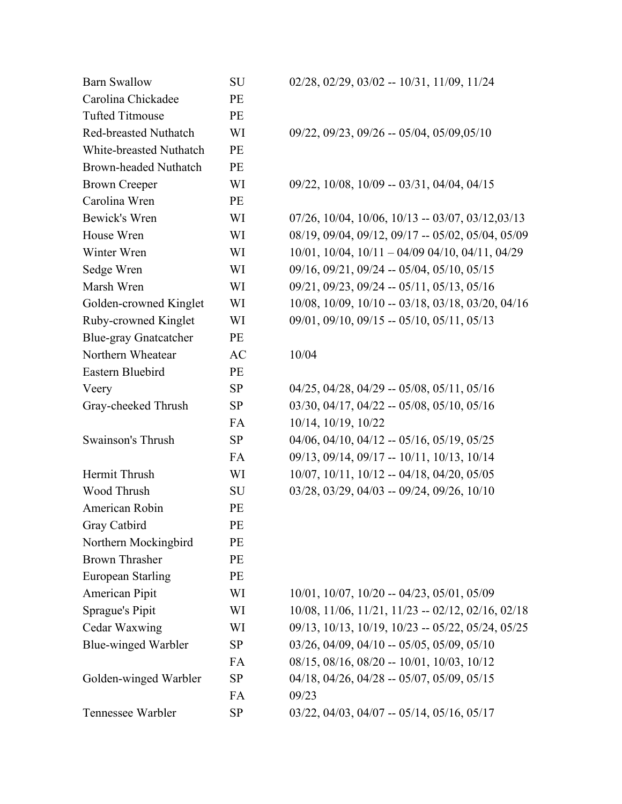| <b>Barn Swallow</b>          | <b>SU</b> | $02/28$ , $02/29$ , $03/02 - 10/31$ , $11/09$ , $11/24$         |
|------------------------------|-----------|-----------------------------------------------------------------|
| Carolina Chickadee           | PE        |                                                                 |
| <b>Tufted Titmouse</b>       | PE        |                                                                 |
| <b>Red-breasted Nuthatch</b> | WI        | $09/22$ , $09/23$ , $09/26 - 05/04$ , $05/09$ , $05/10$         |
| White-breasted Nuthatch      | PE        |                                                                 |
| <b>Brown-headed Nuthatch</b> | PE        |                                                                 |
| <b>Brown Creeper</b>         | WI        | 09/22, 10/08, 10/09 -- 03/31, 04/04, 04/15                      |
| Carolina Wren                | PE        |                                                                 |
| Bewick's Wren                | WI        | $07/26$ , $10/04$ , $10/06$ , $10/13 - 03/07$ , $03/12,03/13$   |
| House Wren                   | WI        | 08/19, 09/04, 09/12, 09/17 -- 05/02, 05/04, 05/09               |
| Winter Wren                  | WI        | $10/01$ , $10/04$ , $10/11 - 04/09$ $04/10$ , $04/11$ , $04/29$ |
| Sedge Wren                   | WI        | 09/16, 09/21, 09/24 -- 05/04, 05/10, 05/15                      |
| Marsh Wren                   | WI        | $09/21, 09/23, 09/24 - 05/11, 05/13, 05/16$                     |
| Golden-crowned Kinglet       | WI        | 10/08, 10/09, 10/10 -- 03/18, 03/18, 03/20, 04/16               |
| Ruby-crowned Kinglet         | WI        | $09/01$ , $09/10$ , $09/15$ -- $05/10$ , $05/11$ , $05/13$      |
| <b>Blue-gray Gnatcatcher</b> | PE        |                                                                 |
| Northern Wheatear            | AC        | 10/04                                                           |
| Eastern Bluebird             | PE        |                                                                 |
| Veery                        | <b>SP</b> | $04/25$ , $04/28$ , $04/29 - 05/08$ , $05/11$ , $05/16$         |
| Gray-cheeked Thrush          | <b>SP</b> | $03/30$ , $04/17$ , $04/22 - 05/08$ , $05/10$ , $05/16$         |
|                              | FA        | 10/14, 10/19, 10/22                                             |
| Swainson's Thrush            | <b>SP</b> | $04/06$ , $04/10$ , $04/12$ -- $05/16$ , $05/19$ , $05/25$      |
|                              | FA        | 09/13, 09/14, 09/17 -- 10/11, 10/13, 10/14                      |
| Hermit Thrush                | WI        | $10/07$ , $10/11$ , $10/12 - 04/18$ , $04/20$ , $05/05$         |
| Wood Thrush                  | SU        | $03/28$ , $03/29$ , $04/03 - 09/24$ , $09/26$ , $10/10$         |
| American Robin               | PE        |                                                                 |
| Gray Catbird                 | PE        |                                                                 |
| Northern Mockingbird         | PE        |                                                                 |
| <b>Brown Thrasher</b>        | PE        |                                                                 |
| <b>European Starling</b>     | PE        |                                                                 |
| <b>American Pipit</b>        | WI        | $10/01$ , $10/07$ , $10/20 - 04/23$ , $05/01$ , $05/09$         |
| <b>Sprague's Pipit</b>       | WI        | 10/08, 11/06, 11/21, 11/23 -- 02/12, 02/16, 02/18               |
| Cedar Waxwing                | WI        | 09/13, 10/13, 10/19, 10/23 -- 05/22, 05/24, 05/25               |
| Blue-winged Warbler          | <b>SP</b> | $03/26$ , $04/09$ , $04/10 - 05/05$ , $05/09$ , $05/10$         |
|                              | FA        | $08/15$ , $08/16$ , $08/20 - 10/01$ , $10/03$ , $10/12$         |
| Golden-winged Warbler        | <b>SP</b> | $04/18$ , $04/26$ , $04/28 - 05/07$ , $05/09$ , $05/15$         |
|                              | FA        | 09/23                                                           |
| Tennessee Warbler            | <b>SP</b> | $03/22$ , $04/03$ , $04/07 - 05/14$ , $05/16$ , $05/17$         |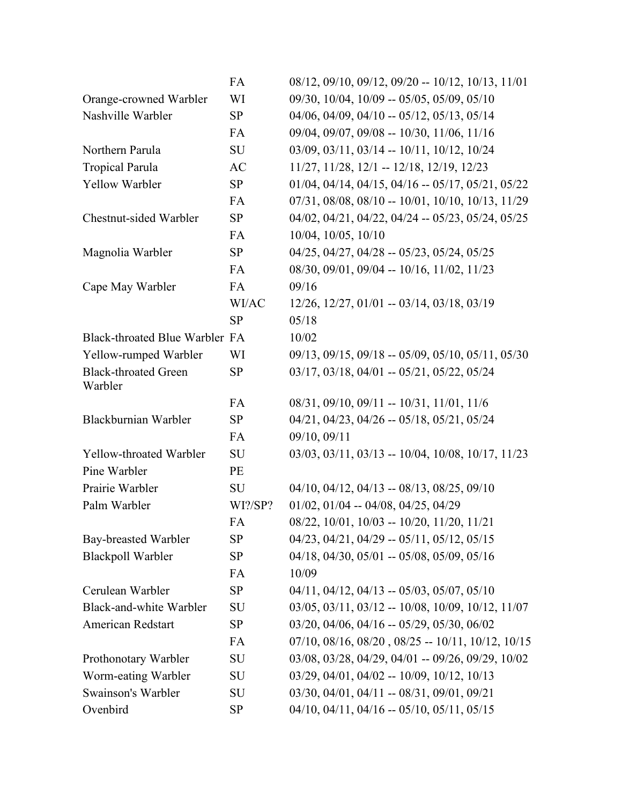|                                        | FA        | 08/12, 09/10, 09/12, 09/20 -- 10/12, 10/13, 11/01                 |
|----------------------------------------|-----------|-------------------------------------------------------------------|
| Orange-crowned Warbler                 | WI        | 09/30, 10/04, 10/09 -- 05/05, 05/09, 05/10                        |
| Nashville Warbler                      | SP        | $04/06$ , $04/09$ , $04/10 - 05/12$ , $05/13$ , $05/14$           |
|                                        | FA        | 09/04, 09/07, 09/08 -- 10/30, 11/06, 11/16                        |
| Northern Parula                        | SU        | 03/09, 03/11, 03/14 -- 10/11, 10/12, 10/24                        |
| <b>Tropical Parula</b>                 | AC        | 11/27, 11/28, 12/1 -- 12/18, 12/19, 12/23                         |
| Yellow Warbler                         | SP        | $01/04$ , $04/14$ , $04/15$ , $04/16 - 05/17$ , $05/21$ , $05/22$ |
|                                        | FA        | 07/31, 08/08, 08/10 -- 10/01, 10/10, 10/13, 11/29                 |
| Chestnut-sided Warbler                 | SP        | 04/02, 04/21, 04/22, 04/24 -- 05/23, 05/24, 05/25                 |
|                                        | FA        | 10/04, 10/05, 10/10                                               |
| Magnolia Warbler                       | <b>SP</b> | $04/25$ , $04/27$ , $04/28 - 05/23$ , $05/24$ , $05/25$           |
|                                        | FA        | 08/30, 09/01, 09/04 -- 10/16, 11/02, 11/23                        |
| Cape May Warbler                       | FA        | 09/16                                                             |
|                                        | WI/AC     | 12/26, 12/27, 01/01 -- 03/14, 03/18, 03/19                        |
|                                        | <b>SP</b> | 05/18                                                             |
| Black-throated Blue Warbler FA         |           | 10/02                                                             |
| Yellow-rumped Warbler                  | WI        | 09/13, 09/15, 09/18 -- 05/09, 05/10, 05/11, 05/30                 |
| <b>Black-throated Green</b><br>Warbler | <b>SP</b> | $03/17$ , $03/18$ , $04/01 - 05/21$ , $05/22$ , $05/24$           |
|                                        | FA        | $08/31, 09/10, 09/11 - 10/31, 11/01, 11/6$                        |
| Blackburnian Warbler                   | <b>SP</b> | $04/21$ , $04/23$ , $04/26 - 05/18$ , $05/21$ , $05/24$           |
|                                        | FA        | 09/10, 09/11                                                      |
| Yellow-throated Warbler                | SU        | $03/03$ , $03/11$ , $03/13$ -- 10/04, 10/08, 10/17, 11/23         |
| Pine Warbler                           | PE        |                                                                   |
| Prairie Warbler                        | SU        | $04/10$ , $04/12$ , $04/13 - 08/13$ , $08/25$ , $09/10$           |
| Palm Warbler                           | WI?/SP?   | $01/02$ , $01/04 - 04/08$ , $04/25$ , $04/29$                     |
|                                        | FA        | 08/22, 10/01, 10/03 -- 10/20, 11/20, 11/21                        |
| Bay-breasted Warbler                   | <b>SP</b> | $04/23$ , $04/21$ , $04/29 - 05/11$ , $05/12$ , $05/15$           |
| <b>Blackpoll Warbler</b>               | SP        | 04/18, 04/30, 05/01 -- 05/08, 05/09, 05/16                        |
|                                        | FA        | 10/09                                                             |
| Cerulean Warbler                       | <b>SP</b> | $04/11$ , $04/12$ , $04/13$ -- $05/03$ , $05/07$ , $05/10$        |
| Black-and-white Warbler                | SU        | $03/05$ , $03/11$ , $03/12 - 10/08$ , $10/09$ , $10/12$ , $11/07$ |
| American Redstart                      | <b>SP</b> | $03/20$ , $04/06$ , $04/16 - 05/29$ , $05/30$ , $06/02$           |
|                                        | FA        | $07/10$ , $08/16$ , $08/20$ , $08/25 - 10/11$ , $10/12$ , $10/15$ |
| Prothonotary Warbler                   | SU        | $03/08$ , $03/28$ , $04/29$ , $04/01 - 09/26$ , $09/29$ , $10/02$ |
| Worm-eating Warbler                    | SU        | $03/29$ , $04/01$ , $04/02 - 10/09$ , $10/12$ , $10/13$           |
| Swainson's Warbler                     | SU        | $03/30, 04/01, 04/11 - 08/31, 09/01, 09/21$                       |
| Ovenbird                               | <b>SP</b> | $04/10$ , $04/11$ , $04/16 - 05/10$ , $05/11$ , $05/15$           |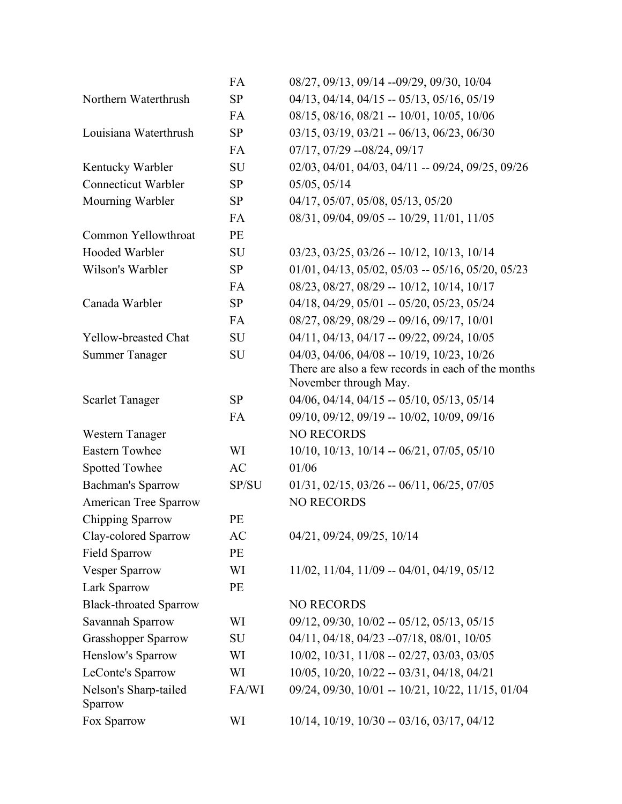|                                  | FA        | 08/27, 09/13, 09/14 --09/29, 09/30, 10/04                                   |
|----------------------------------|-----------|-----------------------------------------------------------------------------|
| Northern Waterthrush             | <b>SP</b> | 04/13, 04/14, 04/15 -- 05/13, 05/16, 05/19                                  |
|                                  | FA        | 08/15, 08/16, 08/21 -- 10/01, 10/05, 10/06                                  |
| Louisiana Waterthrush            | SP        | $03/15$ , $03/19$ , $03/21 - 06/13$ , $06/23$ , $06/30$                     |
|                                  | FA        | $07/17$ , $07/29$ --08/24, 09/17                                            |
| Kentucky Warbler                 | SU        | 02/03, 04/01, 04/03, 04/11 -- 09/24, 09/25, 09/26                           |
| Connecticut Warbler              | SP        | 05/05, 05/14                                                                |
| Mourning Warbler                 | <b>SP</b> | 04/17, 05/07, 05/08, 05/13, 05/20                                           |
|                                  | FA        | 08/31, 09/04, 09/05 -- 10/29, 11/01, 11/05                                  |
| Common Yellowthroat              | PE        |                                                                             |
| Hooded Warbler                   | SU        | $03/23$ , $03/25$ , $03/26 - 10/12$ , $10/13$ , $10/14$                     |
| Wilson's Warbler                 | SP        | $01/01$ , $04/13$ , $05/02$ , $05/03$ -- $05/16$ , $05/20$ , $05/23$        |
|                                  | FA        | 08/23, 08/27, 08/29 -- 10/12, 10/14, 10/17                                  |
| Canada Warbler                   | SP        | 04/18, 04/29, 05/01 -- 05/20, 05/23, 05/24                                  |
|                                  | FA        | 08/27, 08/29, 08/29 -- 09/16, 09/17, 10/01                                  |
| Yellow-breasted Chat             | SU        | 04/11, 04/13, 04/17 -- 09/22, 09/24, 10/05                                  |
| <b>Summer Tanager</b>            | SU        | 04/03, 04/06, 04/08 -- 10/19, 10/23, 10/26                                  |
|                                  |           | There are also a few records in each of the months<br>November through May. |
| <b>Scarlet Tanager</b>           | <b>SP</b> | $04/06$ , $04/14$ , $04/15 - 05/10$ , $05/13$ , $05/14$                     |
|                                  | FA        | 09/10, 09/12, 09/19 -- 10/02, 10/09, 09/16                                  |
| Western Tanager                  |           | <b>NO RECORDS</b>                                                           |
| <b>Eastern Towhee</b>            | WI        | $10/10$ , $10/13$ , $10/14 - 06/21$ , $07/05$ , $05/10$                     |
| Spotted Towhee                   | AC        | 01/06                                                                       |
| <b>Bachman's Sparrow</b>         | SP/SU     | $01/31, 02/15, 03/26 - 06/11, 06/25, 07/05$                                 |
| American Tree Sparrow            |           | <b>NO RECORDS</b>                                                           |
| Chipping Sparrow                 | PE        |                                                                             |
| Clay-colored Sparrow             | AC        | 04/21, 09/24, 09/25, 10/14                                                  |
| <b>Field Sparrow</b>             | PE        |                                                                             |
| <b>Vesper Sparrow</b>            | WI        | 11/02, 11/04, 11/09 -- 04/01, 04/19, 05/12                                  |
| Lark Sparrow                     | PE        |                                                                             |
| <b>Black-throated Sparrow</b>    |           | NO RECORDS                                                                  |
| Savannah Sparrow                 | WI        | $09/12$ , $09/30$ , $10/02 - 05/12$ , $05/13$ , $05/15$                     |
| <b>Grasshopper Sparrow</b>       | SU        | 04/11, 04/18, 04/23 --07/18, 08/01, 10/05                                   |
| Henslow's Sparrow                | WI        | $10/02$ , $10/31$ , $11/08 - 02/27$ , $03/03$ , $03/05$                     |
| LeConte's Sparrow                | WI        | $10/05$ , $10/20$ , $10/22 - 03/31$ , $04/18$ , $04/21$                     |
| Nelson's Sharp-tailed<br>Sparrow | FA/WI     | 09/24, 09/30, 10/01 -- 10/21, 10/22, 11/15, 01/04                           |
| Fox Sparrow                      | WI        | $10/14$ , $10/19$ , $10/30 - 03/16$ , $03/17$ , $04/12$                     |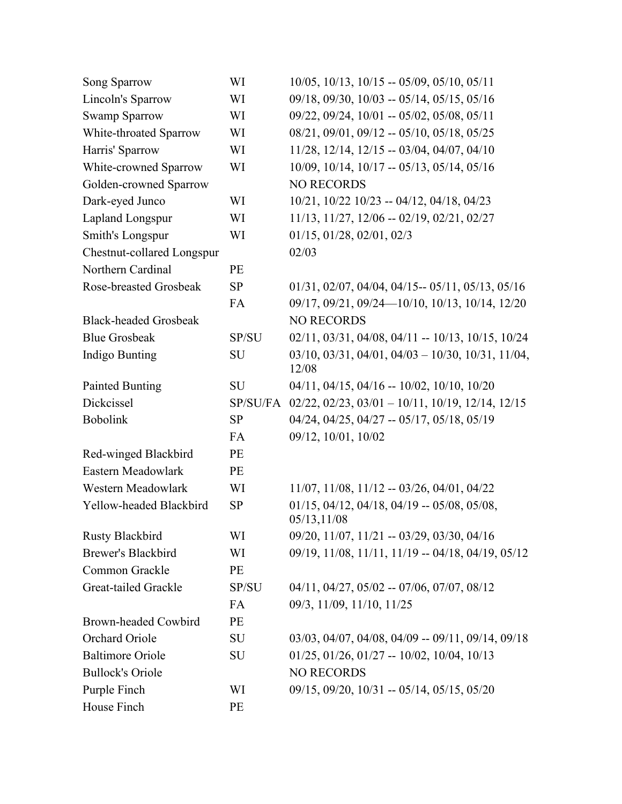| Song Sparrow                 | WI        | $10/05$ , $10/13$ , $10/15 - 05/09$ , $05/10$ , $05/11$                  |
|------------------------------|-----------|--------------------------------------------------------------------------|
| Lincoln's Sparrow            | WI        | $09/18$ , $09/30$ , $10/03 - 05/14$ , $05/15$ , $05/16$                  |
| <b>Swamp Sparrow</b>         | WI        | 09/22, 09/24, 10/01 -- 05/02, 05/08, 05/11                               |
| White-throated Sparrow       | WI        | $08/21, 09/01, 09/12 - 05/10, 05/18, 05/25$                              |
| Harris' Sparrow              | WI        | 11/28, 12/14, 12/15 -- 03/04, 04/07, 04/10                               |
| White-crowned Sparrow        | WI        | 10/09, 10/14, 10/17 -- 05/13, 05/14, 05/16                               |
| Golden-crowned Sparrow       |           | <b>NO RECORDS</b>                                                        |
| Dark-eyed Junco              | WI        | $10/21$ , $10/22$ $10/23$ -- $04/12$ , $04/18$ , $04/23$                 |
| Lapland Longspur             | WI        | 11/13, 11/27, 12/06 -- 02/19, 02/21, 02/27                               |
| Smith's Longspur             | WI        | 01/15, 01/28, 02/01, 02/3                                                |
| Chestnut-collared Longspur   |           | 02/03                                                                    |
| Northern Cardinal            | PE        |                                                                          |
| Rose-breasted Grosbeak       | <b>SP</b> | $01/31, 02/07, 04/04, 04/15 - 05/11, 05/13, 05/16$                       |
|                              | FA        | 09/17, 09/21, 09/24 - 10/10, 10/13, 10/14, 12/20                         |
| <b>Black-headed Grosbeak</b> |           | <b>NO RECORDS</b>                                                        |
| <b>Blue Grosbeak</b>         | SP/SU     | 02/11, 03/31, 04/08, 04/11 -- 10/13, 10/15, 10/24                        |
| Indigo Bunting               | SU        | $03/10, 03/31, 04/01, 04/03 - 10/30, 10/31, 11/04,$<br>12/08             |
| <b>Painted Bunting</b>       | SU        | $04/11$ , $04/15$ , $04/16$ -- $10/02$ , $10/10$ , $10/20$               |
| Dickcissel                   |           | SP/SU/FA 02/22, 02/23, 03/01 - 10/11, 10/19, 12/14, 12/15                |
| <b>Bobolink</b>              | <b>SP</b> | 04/24, 04/25, 04/27 -- 05/17, 05/18, 05/19                               |
|                              | FA        | 09/12, 10/01, 10/02                                                      |
| Red-winged Blackbird         | PE        |                                                                          |
| Eastern Meadowlark           | PE        |                                                                          |
| Western Meadowlark           | WI        | $11/07$ , $11/08$ , $11/12 - 03/26$ , $04/01$ , $04/22$                  |
| Yellow-headed Blackbird      | <b>SP</b> | $01/15$ , $04/12$ , $04/18$ , $04/19 - 05/08$ , $05/08$ ,<br>05/13,11/08 |
| <b>Rusty Blackbird</b>       | WI        | 09/20, 11/07, 11/21 -- 03/29, 03/30, 04/16                               |
| <b>Brewer's Blackbird</b>    | WI        | 09/19, 11/08, 11/11, 11/19 -- 04/18, 04/19, 05/12                        |
| Common Grackle               | PE        |                                                                          |
| Great-tailed Grackle         | SP/SU     | 04/11, 04/27, 05/02 -- 07/06, 07/07, 08/12                               |
|                              | FA        | 09/3, 11/09, 11/10, 11/25                                                |
| <b>Brown-headed Cowbird</b>  | PE        |                                                                          |
| Orchard Oriole               | SU        | $03/03$ , $04/07$ , $04/08$ , $04/09 - 09/11$ , $09/14$ , $09/18$        |
| <b>Baltimore Oriole</b>      | SU        | $01/25$ , $01/26$ , $01/27 - 10/02$ , $10/04$ , $10/13$                  |
| <b>Bullock's Oriole</b>      |           | <b>NO RECORDS</b>                                                        |
| Purple Finch                 | WI        | $09/15$ , $09/20$ , $10/31 - 05/14$ , $05/15$ , $05/20$                  |
| House Finch                  | PE        |                                                                          |